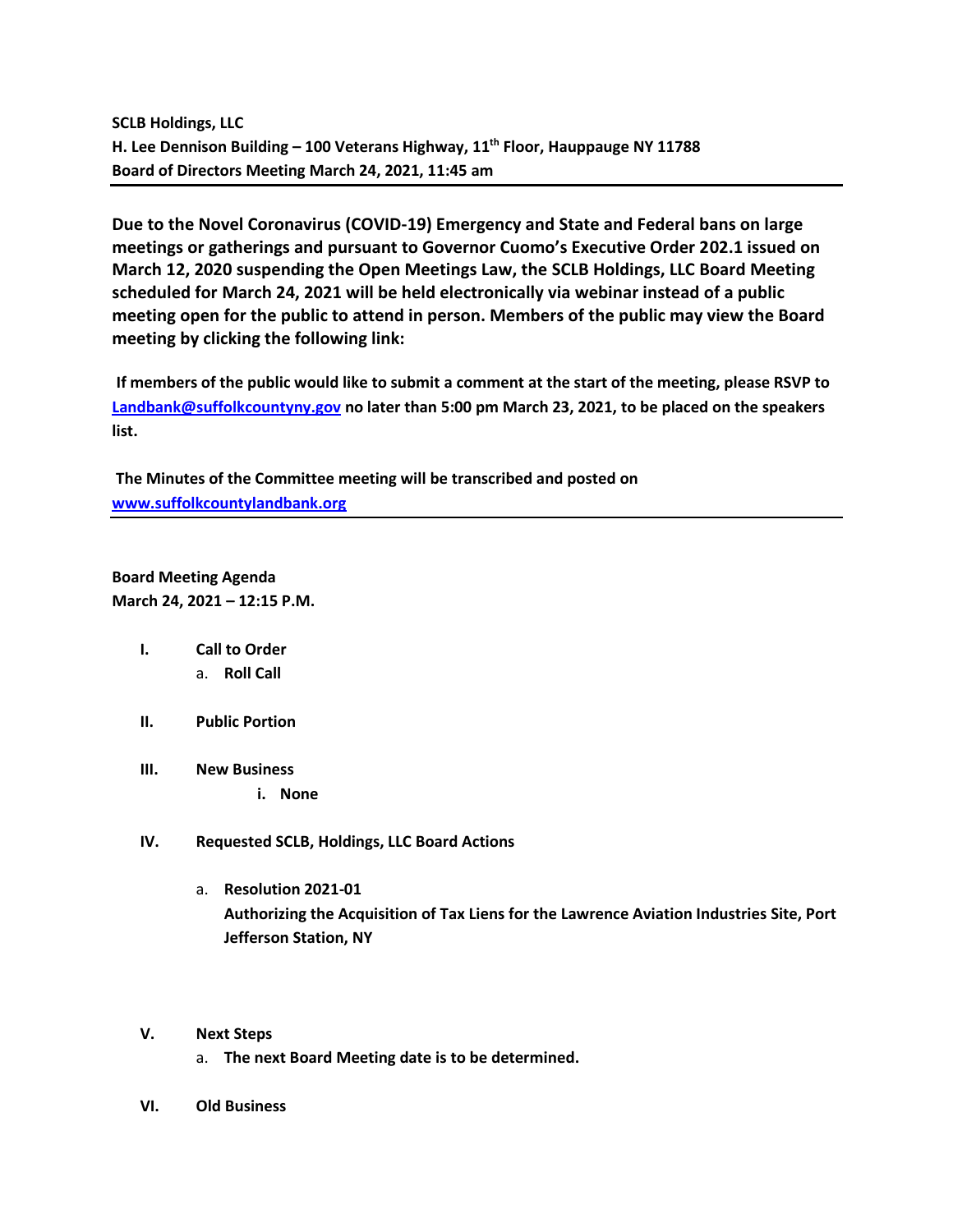**SCLB Holdings, LLC H. Lee Dennison Building – 100 Veterans Highway, 11th Floor, Hauppauge NY 11788 Board of Directors Meeting March 24, 2021, 11:45 am**

**Due to the Novel Coronavirus (COVID-19) Emergency and State and Federal bans on large meetings or gatherings and pursuant to Governor Cuomo's Executive Order 202.1 issued on March 12, 2020 suspending the Open Meetings Law, the SCLB Holdings, LLC Board Meeting scheduled for March 24, 2021 will be held electronically via webinar instead of a public meeting open for the public to attend in person. Members of the public may view the Board meeting by clicking the following link:**

**If members of the public would like to submit a comment at the start of the meeting, please RSVP to [Landbank@suffolkcountyny.gov](mailto:Landbank@suffolkcountyny.gov) no later than 5:00 pm March 23, 2021, to be placed on the speakers list.** 

**The Minutes of the Committee meeting will be transcribed and posted on [www.suffolkcountylandbank.org](http://www.suffolkcountylandbank.org/)**

**Board Meeting Agenda March 24, 2021 – 12:15 P.M.**

- **I. Call to Order**  a. **Roll Call**
- **II. Public Portion**
- **III. New Business**
	- **i. None**
- **IV. Requested SCLB, Holdings, LLC Board Actions** 
	- a. **Resolution 2021-01 Authorizing the Acquisition of Tax Liens for the Lawrence Aviation Industries Site, Port Jefferson Station, NY**
- **V. Next Steps**
	- a. **The next Board Meeting date is to be determined.**
- **VI. Old Business**